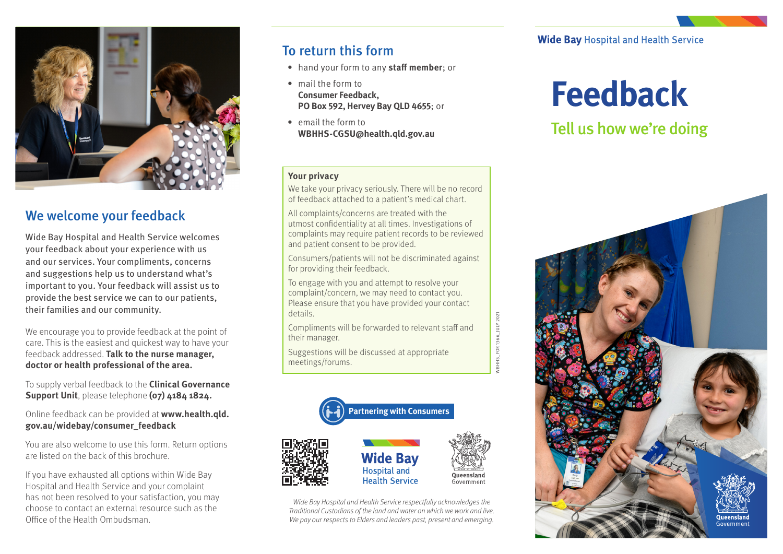

## We welcome your feedback

Wide Bay Hospital and Health Service welcomes your feedback about your experience with us and our services. Your compliments, concerns and suggestions help us to understand what's important to you. Your feedback will assist us to provide the best service we can to our patients, their families and our community.

We encourage you to provide feedback at the point of care. This is the easiest and quickest way to have your feedback addressed. **Talk to the nurse manager, doctor or health professional of the area.**

To supply verbal feedback to the **Clinical Governance Support Unit**, please telephone **(07) 4184 1824.**

Online feedback can be provided at **www.health.qld. gov.au/widebay/consumer\_feedback**

You are also welcome to use this form. Return options are listed on the back of this brochure.

If you have exhausted all options within Wide Bay Hospital and Health Service and your complaint has not been resolved to your satisfaction, you may choose to contact an external resource such as the Office of the Health Ombudsman.

# To return this form

- hand your form to any **staff member**; or
- mail the form to **Consumer Feedback, PO Box 592, Hervey Bay QLD 4655**; or
- email the form to **WBHHS-CGSU@health.qld.gov.au**

#### **Your privacy**

We take your privacy seriously. There will be no record of feedback attached to a patient's medical chart.

All complaints/concerns are treated with the utmost confidentiality at all times. Investigations of complaints may require patient records to be reviewed and patient consent to be provided.

Consumers/patients will not be discriminated against for providing their feedback.

To engage with you and attempt to resolve your complaint/concern, we may need to contact you. Please ensure that you have provided your contact details.

Compliments will be forwarded to relevant staff and their manager.

WBHHS\_FOR 1366\_JULY 2021

HHS\_FOR1366\_JULY 2021

Suggestions will be discussed at appropriate meetings/forums.



*Wide Bay Hospital and Health Service respectfully acknowledges the Traditional Custodians of the land and water on which we work and live. We pay our respects to Elders and leaders past, present and emerging.*

**Wide Bay Hospital and Health Service** 

# **Feedback**

# Tell us how we're doing